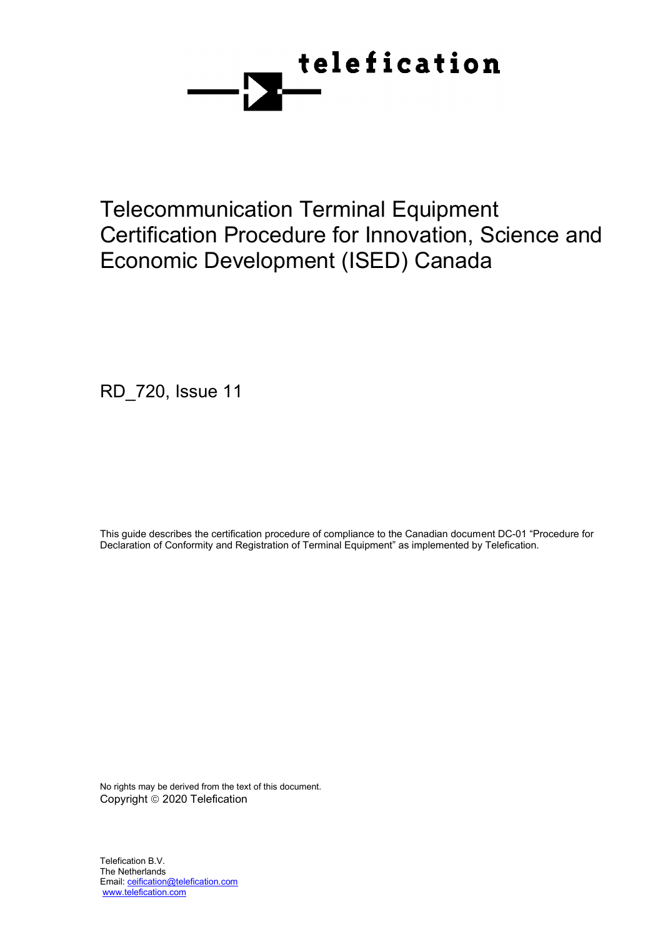

Telecommunication Terminal Equipment Certification Procedure for Innovation, Science and Economic Development (ISED) Canada

RD\_720, Issue 11

This guide describes the certification procedure of compliance to the Canadian document DC-01 "Procedure for Declaration of Conformity and Registration of Terminal Equipment" as implemented by Telefication.

No rights may be derived from the text of this document. Copyright © 2020 Telefication

Telefication B.V. The Netherlands Email[: ceification@telefication.com](mailto:ceification@telefication.com) www.telefication.com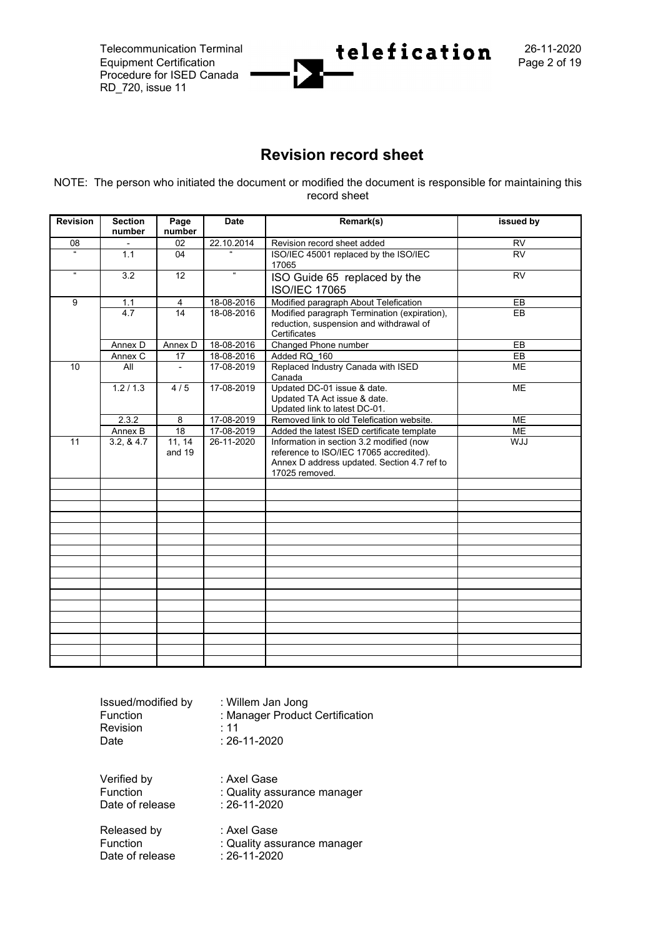Equipment Certification Procedure for ISED Canada RD\_720, issue 11



## **Revision record sheet**

NOTE: The person who initiated the document or modified the document is responsible for maintaining this record sheet

| <b>Revision</b> | <b>Section</b><br>number | Page<br>number   | <b>Date</b>    | Remark(s)                                                                                                                                            | issued by       |
|-----------------|--------------------------|------------------|----------------|------------------------------------------------------------------------------------------------------------------------------------------------------|-----------------|
| 08              |                          | 02               | 22.10.2014     | Revision record sheet added                                                                                                                          | <b>RV</b>       |
| $\overline{a}$  | 1.1                      | 04               | $\overline{a}$ | ISO/IEC 45001 replaced by the ISO/IEC<br>17065                                                                                                       | $\overline{RV}$ |
| $\mathbf{g}$    | 3.2                      | 12               | a.             | ISO Guide 65 replaced by the<br><b>ISO/IEC 17065</b>                                                                                                 | <b>RV</b>       |
| 9               | $1.1$                    | 4                | 18-08-2016     | Modified paragraph About Telefication                                                                                                                | EB              |
|                 | 4.7                      | 14               | 18-08-2016     | Modified paragraph Termination (expiration),<br>reduction, suspension and withdrawal of<br>Certificates                                              | EB              |
|                 | Annex D                  | Annex D          | 18-08-2016     | Changed Phone number                                                                                                                                 | EB              |
|                 | Annex C                  | 17               | 18-08-2016     | Added RQ 160                                                                                                                                         | EB              |
| 10              | All                      | $\blacksquare$   | 17-08-2019     | Replaced Industry Canada with ISED<br>Canada                                                                                                         | <b>ME</b>       |
|                 | 1.2/1.3                  | 4/5              | 17-08-2019     | Updated DC-01 issue & date.<br>Updated TA Act issue & date.<br>Updated link to latest DC-01.                                                         | <b>ME</b>       |
|                 | 2.3.2                    | 8                | 17-08-2019     | Removed link to old Telefication website.                                                                                                            | <b>ME</b>       |
|                 | Annex B                  | 18               | 17-08-2019     | Added the latest ISED certificate template                                                                                                           | ME              |
| 11              | 3.2, 8.4.7               | 11, 14<br>and 19 | 26-11-2020     | Information in section 3.2 modified (now<br>reference to ISO/IEC 17065 accredited).<br>Annex D address updated. Section 4.7 ref to<br>17025 removed. | <b>ULW</b>      |
|                 |                          |                  |                |                                                                                                                                                      |                 |
|                 |                          |                  |                |                                                                                                                                                      |                 |
|                 |                          |                  |                |                                                                                                                                                      |                 |
|                 |                          |                  |                |                                                                                                                                                      |                 |
|                 |                          |                  |                |                                                                                                                                                      |                 |
|                 |                          |                  |                |                                                                                                                                                      |                 |
|                 |                          |                  |                |                                                                                                                                                      |                 |
|                 |                          |                  |                |                                                                                                                                                      |                 |
|                 |                          |                  |                |                                                                                                                                                      |                 |
|                 |                          |                  |                |                                                                                                                                                      |                 |
|                 |                          |                  |                |                                                                                                                                                      |                 |
|                 |                          |                  |                |                                                                                                                                                      |                 |
|                 |                          |                  |                |                                                                                                                                                      |                 |
|                 |                          |                  |                |                                                                                                                                                      |                 |
|                 |                          |                  |                |                                                                                                                                                      |                 |

| Issued/modified by | : Willem Jan Jong               |
|--------------------|---------------------------------|
| Function           | : Manager Product Certification |
| Revision           | : 11                            |
| Date               | : 26-11-2020                    |
| Verified by        | : Axel Gase                     |
| Function           | : Quality assurance manager     |
| Date of release    | : 26-11-2020                    |
| Released by        | : Axel Gase                     |
| Function           | : Quality assurance manager     |
| Date of release    | : 26-11-2020                    |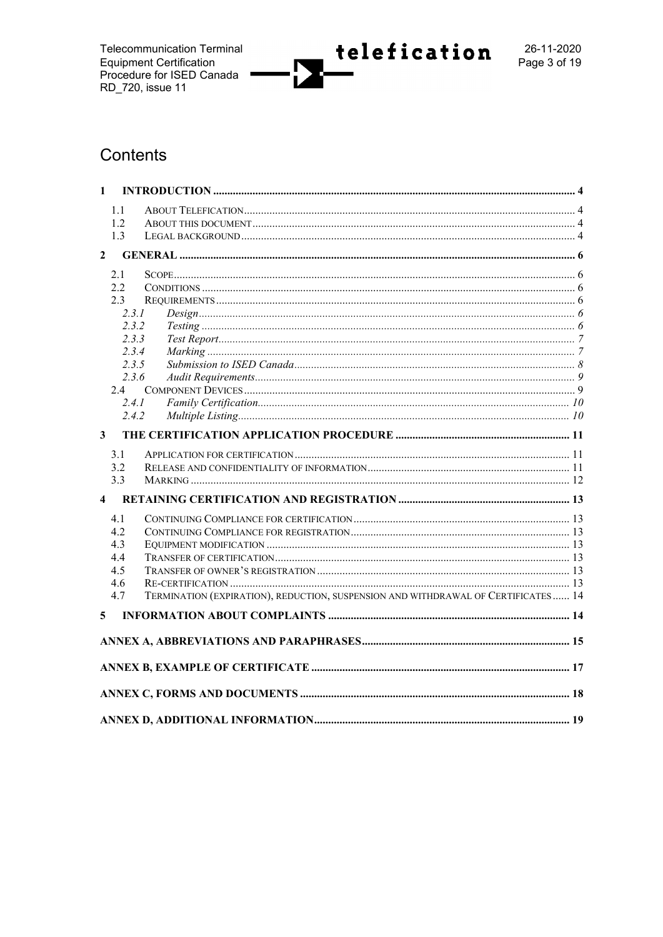**Telecommunication Terminal** Equipment Certification<br>Procedure for ISED Canada<br>RD\_720, issue 11



# Contents

| $\mathbf{1}$            |            |                                                                                   |  |  |  |
|-------------------------|------------|-----------------------------------------------------------------------------------|--|--|--|
|                         | 1.1        |                                                                                   |  |  |  |
|                         | 1.2        |                                                                                   |  |  |  |
|                         | 1.3        |                                                                                   |  |  |  |
| $\mathbf{2}$            |            |                                                                                   |  |  |  |
|                         | 2.1        |                                                                                   |  |  |  |
|                         | 2.2<br>2.3 |                                                                                   |  |  |  |
|                         | 2.3.1      |                                                                                   |  |  |  |
|                         | 2.3.2      |                                                                                   |  |  |  |
|                         | 2.3.3      |                                                                                   |  |  |  |
|                         | 2.3.4      |                                                                                   |  |  |  |
|                         | 2.3.5      |                                                                                   |  |  |  |
|                         | 2.3.6      |                                                                                   |  |  |  |
|                         | 2.4        |                                                                                   |  |  |  |
|                         | 2.4.1      |                                                                                   |  |  |  |
|                         | 2.4.2      |                                                                                   |  |  |  |
| 3                       |            |                                                                                   |  |  |  |
|                         | 3.1        |                                                                                   |  |  |  |
|                         | 3.2        |                                                                                   |  |  |  |
|                         | 3.3        |                                                                                   |  |  |  |
| $\overline{\mathbf{4}}$ |            |                                                                                   |  |  |  |
|                         | 4.1        |                                                                                   |  |  |  |
|                         | 4.2.       |                                                                                   |  |  |  |
|                         | 4.3        |                                                                                   |  |  |  |
|                         | 4.4        |                                                                                   |  |  |  |
|                         | 4.5        |                                                                                   |  |  |  |
|                         | 4.6<br>4.7 | TERMINATION (EXPIRATION), REDUCTION, SUSPENSION AND WITHDRAWAL OF CERTIFICATES 14 |  |  |  |
|                         |            |                                                                                   |  |  |  |
| 5                       |            |                                                                                   |  |  |  |
|                         |            |                                                                                   |  |  |  |
|                         |            |                                                                                   |  |  |  |
|                         |            |                                                                                   |  |  |  |
|                         |            |                                                                                   |  |  |  |
|                         |            |                                                                                   |  |  |  |
|                         |            |                                                                                   |  |  |  |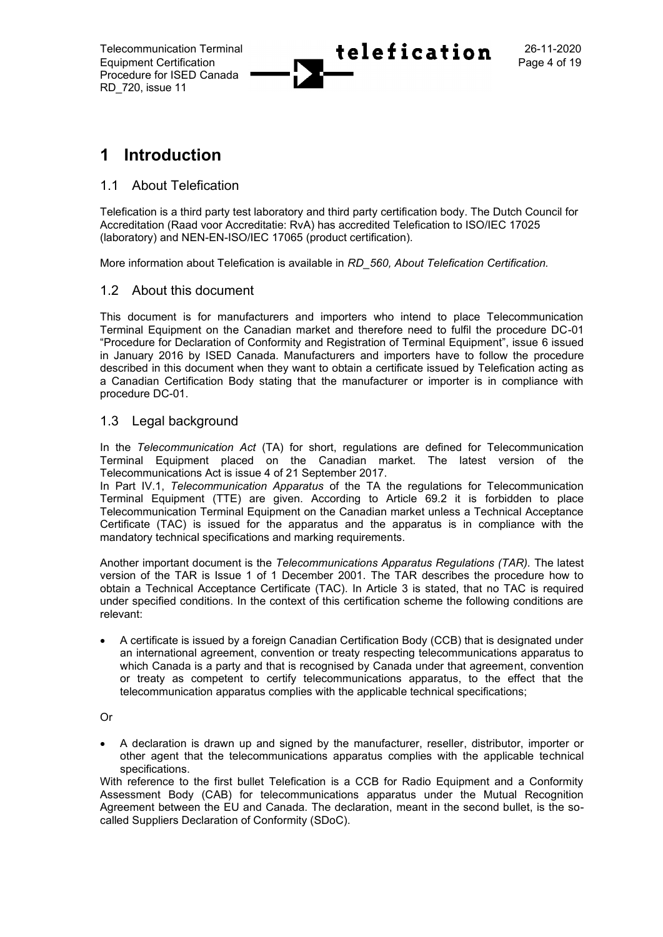

# **1 Introduction**

## 1.1 About Telefication

Telefication is a third party test laboratory and third party certification body. The Dutch Council for Accreditation (Raad voor Accreditatie: RvA) has accredited Telefication to ISO/IEC 17025 (laboratory) and NEN-EN-ISO/IEC 17065 (product certification).

More information about Telefication is available in *RD\_560, About Telefication Certification.*

## 1.2 About this document

This document is for manufacturers and importers who intend to place Telecommunication Terminal Equipment on the Canadian market and therefore need to fulfil the procedure DC-01 "Procedure for Declaration of Conformity and Registration of Terminal Equipment", issue 6 issued in January 2016 by ISED Canada. Manufacturers and importers have to follow the procedure described in this document when they want to obtain a certificate issued by Telefication acting as a Canadian Certification Body stating that the manufacturer or importer is in compliance with procedure DC-01.

## 1.3 Legal background

In the *Telecommunication Act* (TA) for short, regulations are defined for Telecommunication Terminal Equipment placed on the Canadian market. The latest version of the Telecommunications Act is issue 4 of 21 September 2017.

In Part IV.1, *Telecommunication Apparatus* of the TA the regulations for Telecommunication Terminal Equipment (TTE) are given. According to Article 69.2 it is forbidden to place Telecommunication Terminal Equipment on the Canadian market unless a Technical Acceptance Certificate (TAC) is issued for the apparatus and the apparatus is in compliance with the mandatory technical specifications and marking requirements.

Another important document is the *Telecommunications Apparatus Regulations (TAR).* The latest version of the TAR is Issue 1 of 1 December 2001. The TAR describes the procedure how to obtain a Technical Acceptance Certificate (TAC). In Article 3 is stated, that no TAC is required under specified conditions. In the context of this certification scheme the following conditions are relevant:

• A certificate is issued by a foreign Canadian Certification Body (CCB) that is designated under an international agreement, convention or treaty respecting telecommunications apparatus to which Canada is a party and that is recognised by Canada under that agreement, convention or treaty as competent to certify telecommunications apparatus, to the effect that the telecommunication apparatus complies with the applicable technical specifications;

Or

• A declaration is drawn up and signed by the manufacturer, reseller, distributor, importer or other agent that the telecommunications apparatus complies with the applicable technical specifications.

With reference to the first bullet Telefication is a CCB for Radio Equipment and a Conformity Assessment Body (CAB) for telecommunications apparatus under the Mutual Recognition Agreement between the EU and Canada. The declaration, meant in the second bullet, is the socalled Suppliers Declaration of Conformity (SDoC).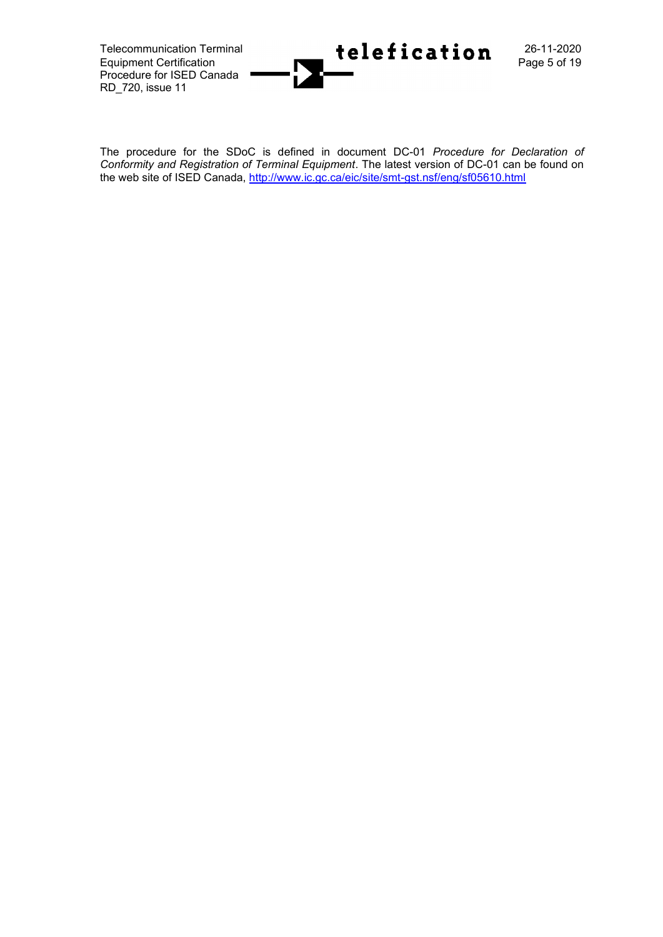Equipment Certification Procedure for ISED Canada RD\_720, issue 11



The procedure for the SDoC is defined in document DC-01 *Procedure for Declaration of Conformity and Registration of Terminal Equipment*. The latest version of DC-01 can be found on the web site of ISED Canada,<http://www.ic.gc.ca/eic/site/smt-gst.nsf/eng/sf05610.html>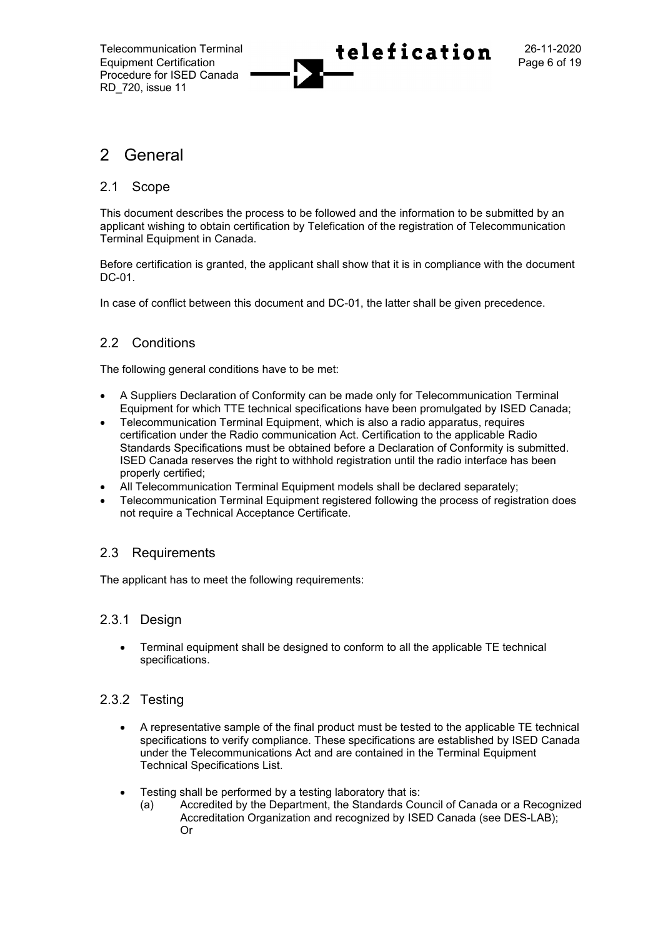

## 2 General

## 2.1 Scope

This document describes the process to be followed and the information to be submitted by an applicant wishing to obtain certification by Telefication of the registration of Telecommunication Terminal Equipment in Canada.

Before certification is granted, the applicant shall show that it is in compliance with the document DC-01.

In case of conflict between this document and DC-01, the latter shall be given precedence.

## 2.2 Conditions

The following general conditions have to be met:

- A Suppliers Declaration of Conformity can be made only for Telecommunication Terminal Equipment for which TTE technical specifications have been promulgated by ISED Canada;
- Telecommunication Terminal Equipment, which is also a radio apparatus, requires certification under the Radio communication Act. Certification to the applicable Radio Standards Specifications must be obtained before a Declaration of Conformity is submitted. ISED Canada reserves the right to withhold registration until the radio interface has been properly certified;
- All Telecommunication Terminal Equipment models shall be declared separately;
- Telecommunication Terminal Equipment registered following the process of registration does not require a Technical Acceptance Certificate.

## 2.3 Requirements

The applicant has to meet the following requirements:

## 2.3.1 Design

• Terminal equipment shall be designed to conform to all the applicable TE technical specifications.

## 2.3.2 Testing

- A representative sample of the final product must be tested to the applicable TE technical specifications to verify compliance. These specifications are established by ISED Canada under the Telecommunications Act and are contained in the Terminal Equipment Technical Specifications List.
- Testing shall be performed by a testing laboratory that is:
	- (a) Accredited by the Department, the Standards Council of Canada or a Recognized Accreditation Organization and recognized by ISED Canada (see DES-LAB); Or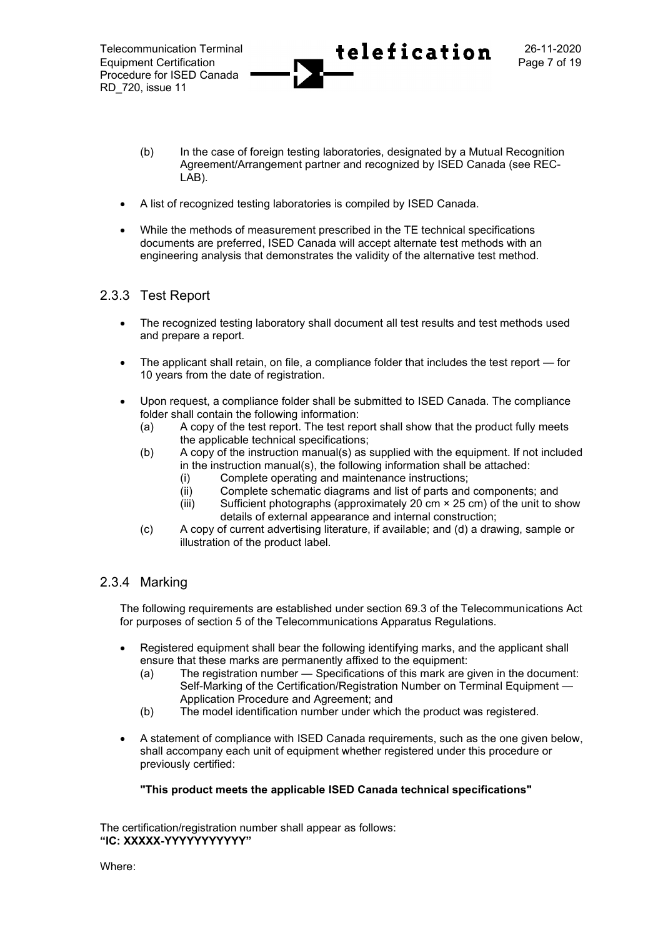- (b) In the case of foreign testing laboratories, designated by a Mutual Recognition Agreement/Arrangement partner and recognized by ISED Canada (see REC-LAB).
- A list of recognized testing laboratories is compiled by ISED Canada.
- While the methods of measurement prescribed in the TE technical specifications documents are preferred, ISED Canada will accept alternate test methods with an engineering analysis that demonstrates the validity of the alternative test method.

## 2.3.3 Test Report

- The recognized testing laboratory shall document all test results and test methods used and prepare a report.
- The applicant shall retain, on file, a compliance folder that includes the test report for 10 years from the date of registration.
- Upon request, a compliance folder shall be submitted to ISED Canada. The compliance folder shall contain the following information:
	- (a) A copy of the test report. The test report shall show that the product fully meets the applicable technical specifications;
	- (b) A copy of the instruction manual(s) as supplied with the equipment. If not included in the instruction manual(s), the following information shall be attached:
		- (i) Complete operating and maintenance instructions;
		- (ii) Complete schematic diagrams and list of parts and components; and
		- (iii) Sufficient photographs (approximately 20 cm  $\times$  25 cm) of the unit to show details of external appearance and internal construction;
	- (c) A copy of current advertising literature, if available; and (d) a drawing, sample or illustration of the product label.

## 2.3.4 Marking

The following requirements are established under section 69.3 of the Telecommunications Act for purposes of section 5 of the Telecommunications Apparatus Regulations.

- Registered equipment shall bear the following identifying marks, and the applicant shall ensure that these marks are permanently affixed to the equipment:
	- (a) The registration number Specifications of this mark are given in the document: Self-Marking of the Certification/Registration Number on Terminal Equipment — Application Procedure and Agreement; and
	- (b) The model identification number under which the product was registered.
- A statement of compliance with ISED Canada requirements, such as the one given below, shall accompany each unit of equipment whether registered under this procedure or previously certified:

**"This product meets the applicable ISED Canada technical specifications"**

The certification/registration number shall appear as follows: **"IC: XXXXX-YYYYYYYYYYY"**

Where: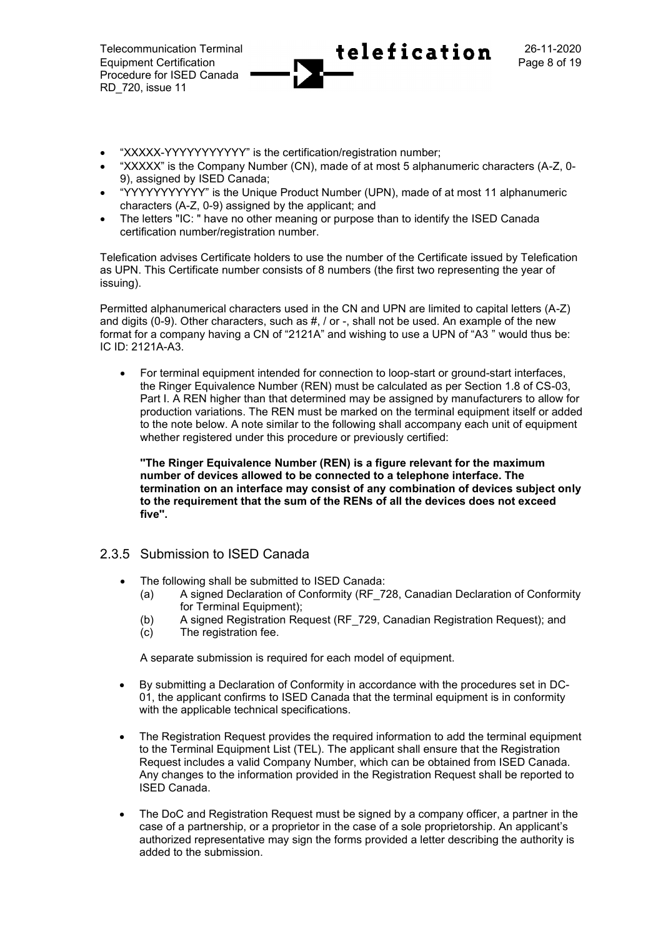- "XXXXX-YYYYYYYYYYY" is the certification/registration number;
- "XXXXX" is the Company Number (CN), made of at most 5 alphanumeric characters (A-Z, 0- 9), assigned by ISED Canada;
- "YYYYYYYYYYY" is the Unique Product Number (UPN), made of at most 11 alphanumeric characters (A-Z, 0-9) assigned by the applicant; and
- The letters "IC: " have no other meaning or purpose than to identify the ISED Canada certification number/registration number.

Telefication advises Certificate holders to use the number of the Certificate issued by Telefication as UPN. This Certificate number consists of 8 numbers (the first two representing the year of issuing).

Permitted alphanumerical characters used in the CN and UPN are limited to capital letters (A-Z) and digits (0-9). Other characters, such as  $\#$ ,  $/$  or  $-$ , shall not be used. An example of the new format for a company having a CN of "2121A" and wishing to use a UPN of "A3 " would thus be: IC ID: 2121A-A3.

• For terminal equipment intended for connection to loop-start or ground-start interfaces, the Ringer Equivalence Number (REN) must be calculated as per Section 1.8 of CS-03, Part I. A REN higher than that determined may be assigned by manufacturers to allow for production variations. The REN must be marked on the terminal equipment itself or added to the note below. A note similar to the following shall accompany each unit of equipment whether registered under this procedure or previously certified:

**''The Ringer Equivalence Number (REN) is a figure relevant for the maximum number of devices allowed to be connected to a telephone interface. The termination on an interface may consist of any combination of devices subject only to the requirement that the sum of the RENs of all the devices does not exceed five''.**

## 2.3.5 Submission to ISED Canada

- The following shall be submitted to ISED Canada:
	- (a) A signed Declaration of Conformity (RF\_728, Canadian Declaration of Conformity for Terminal Equipment);
	- (b) A signed Registration Request (RF\_729, Canadian Registration Request); and
	- (c) The registration fee.

A separate submission is required for each model of equipment.

- By submitting a Declaration of Conformity in accordance with the procedures set in DC-01, the applicant confirms to ISED Canada that the terminal equipment is in conformity with the applicable technical specifications.
- The Registration Request provides the required information to add the terminal equipment to the Terminal Equipment List (TEL). The applicant shall ensure that the Registration Request includes a valid Company Number, which can be obtained from ISED Canada. Any changes to the information provided in the Registration Request shall be reported to ISED Canada.
- The DoC and Registration Request must be signed by a company officer, a partner in the case of a partnership, or a proprietor in the case of a sole proprietorship. An applicant's authorized representative may sign the forms provided a letter describing the authority is added to the submission.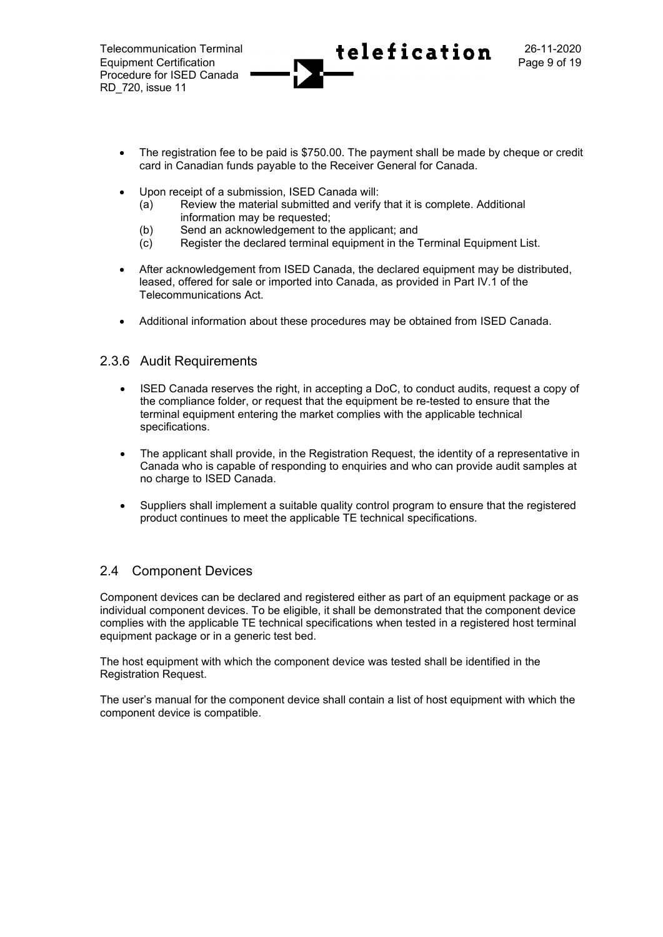- The registration fee to be paid is \$750.00. The payment shall be made by cheque or credit card in Canadian funds payable to the Receiver General for Canada.
- Upon receipt of a submission, ISED Canada will:
	- (a) Review the material submitted and verify that it is complete. Additional information may be requested;
	- (b) Send an acknowledgement to the applicant; and
	- (c) Register the declared terminal equipment in the Terminal Equipment List.
- After acknowledgement from ISED Canada, the declared equipment may be distributed, leased, offered for sale or imported into Canada, as provided in Part IV.1 of the Telecommunications Act.
- Additional information about these procedures may be obtained from ISED Canada.

## 2.3.6 Audit Requirements

- ISED Canada reserves the right, in accepting a DoC, to conduct audits, request a copy of the compliance folder, or request that the equipment be re-tested to ensure that the terminal equipment entering the market complies with the applicable technical specifications.
- The applicant shall provide, in the Registration Request, the identity of a representative in Canada who is capable of responding to enquiries and who can provide audit samples at no charge to ISED Canada.
- Suppliers shall implement a suitable quality control program to ensure that the registered product continues to meet the applicable TE technical specifications.

## 2.4 Component Devices

Component devices can be declared and registered either as part of an equipment package or as individual component devices. To be eligible, it shall be demonstrated that the component device complies with the applicable TE technical specifications when tested in a registered host terminal equipment package or in a generic test bed.

The host equipment with which the component device was tested shall be identified in the Registration Request.

The user's manual for the component device shall contain a list of host equipment with which the component device is compatible.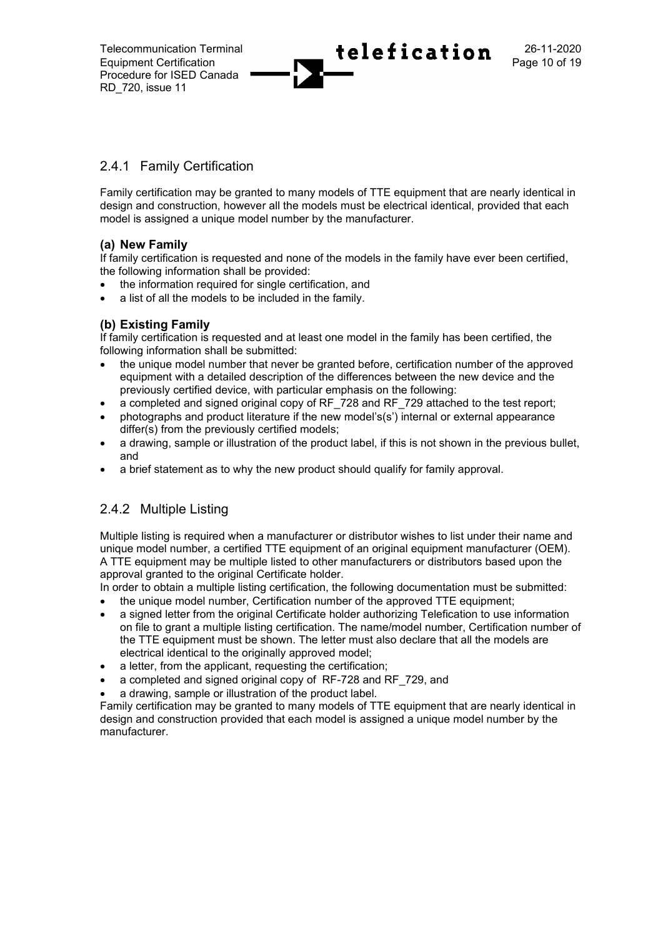

## 2.4.1 Family Certification

Family certification may be granted to many models of TTE equipment that are nearly identical in design and construction, however all the models must be electrical identical, provided that each model is assigned a unique model number by the manufacturer.

## **(a) New Family**

If family certification is requested and none of the models in the family have ever been certified, the following information shall be provided:

- the information required for single certification, and
- a list of all the models to be included in the family.

## **(b) Existing Family**

If family certification is requested and at least one model in the family has been certified, the following information shall be submitted:

- the unique model number that never be granted before, certification number of the approved equipment with a detailed description of the differences between the new device and the previously certified device, with particular emphasis on the following:
- a completed and signed original copy of RF\_728 and RF\_729 attached to the test report;
- photographs and product literature if the new model's(s') internal or external appearance differ(s) from the previously certified models;
- a drawing, sample or illustration of the product label, if this is not shown in the previous bullet, and
- a brief statement as to why the new product should qualify for family approval.

## 2.4.2 Multiple Listing

Multiple listing is required when a manufacturer or distributor wishes to list under their name and unique model number, a certified TTE equipment of an original equipment manufacturer (OEM). A TTE equipment may be multiple listed to other manufacturers or distributors based upon the approval granted to the original Certificate holder.

In order to obtain a multiple listing certification, the following documentation must be submitted:

- the unique model number, Certification number of the approved TTE equipment;
- a signed letter from the original Certificate holder authorizing Telefication to use information on file to grant a multiple listing certification. The name/model number, Certification number of the TTE equipment must be shown. The letter must also declare that all the models are electrical identical to the originally approved model;
- a letter, from the applicant, requesting the certification;
- a completed and signed original copy of RF-728 and RF\_729, and
- a drawing, sample or illustration of the product label.

Family certification may be granted to many models of TTE equipment that are nearly identical in design and construction provided that each model is assigned a unique model number by the manufacturer.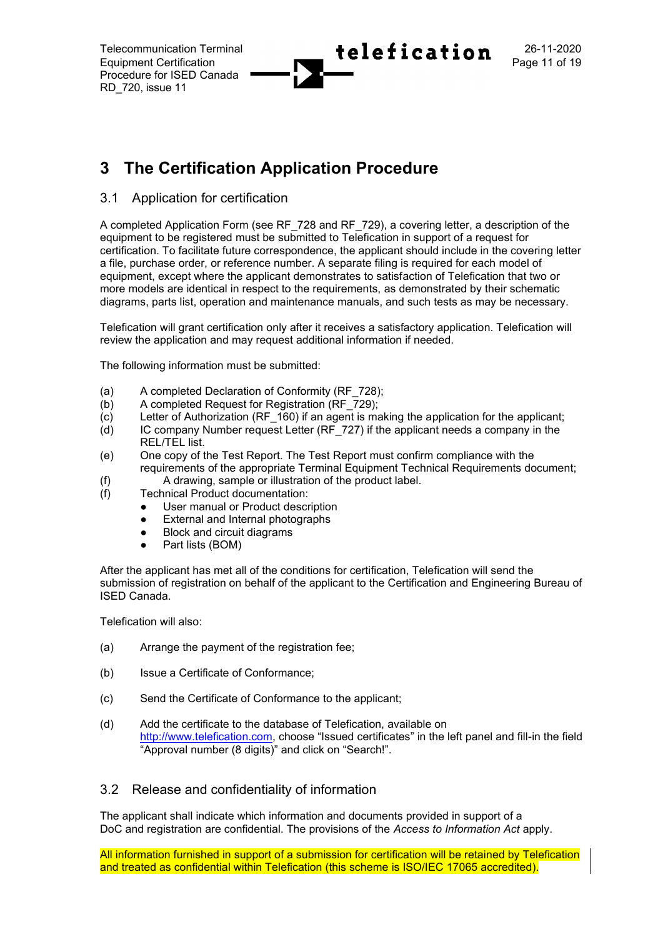# **3 The Certification Application Procedure**

## 3.1 Application for certification

A completed Application Form (see RF\_728 and RF\_729), a covering letter, a description of the equipment to be registered must be submitted to Telefication in support of a request for certification. To facilitate future correspondence, the applicant should include in the covering letter a file, purchase order, or reference number. A separate filing is required for each model of equipment, except where the applicant demonstrates to satisfaction of Telefication that two or more models are identical in respect to the requirements, as demonstrated by their schematic diagrams, parts list, operation and maintenance manuals, and such tests as may be necessary.

Telefication will grant certification only after it receives a satisfactory application. Telefication will review the application and may request additional information if needed.

The following information must be submitted:

- (a) A completed Declaration of Conformity (RF\_728);
- (b) A completed Request for Registration (RF\_729);
- $(c)$  Letter of Authorization (RF 160) if an agent is making the application for the applicant;
- (d) IC company Number request Letter (RF\_727) if the applicant needs a company in the REL/TEL list.
- (e) One copy of the Test Report. The Test Report must confirm compliance with the requirements of the appropriate Terminal Equipment Technical Requirements document;
- (f) A drawing, sample or illustration of the product label.
- (f) Technical Product documentation:
	- User manual or Product description
	- External and Internal photographs
	- Block and circuit diagrams
	- Part lists (BOM)

After the applicant has met all of the conditions for certification, Telefication will send the submission of registration on behalf of the applicant to the Certification and Engineering Bureau of ISED Canada.

Telefication will also:

- (a) Arrange the payment of the registration fee;
- (b) Issue a Certificate of Conformance;
- (c) Send the Certificate of Conformance to the applicant;
- (d) Add the certificate to the database of Telefication, available on [http://www.telefication.com](http://www.telefication.com/), choose "Issued certificates" in the left panel and fill-in the field "Approval number (8 digits)" and click on "Search!".

## 3.2 Release and confidentiality of information

The applicant shall indicate which information and documents provided in support of a DoC and registration are confidential. The provisions of the *Access to Information Act* apply.

All information furnished in support of a submission for certification will be retained by Telefication and treated as confidential within Telefication (this scheme is ISO/IEC 17065 accredited).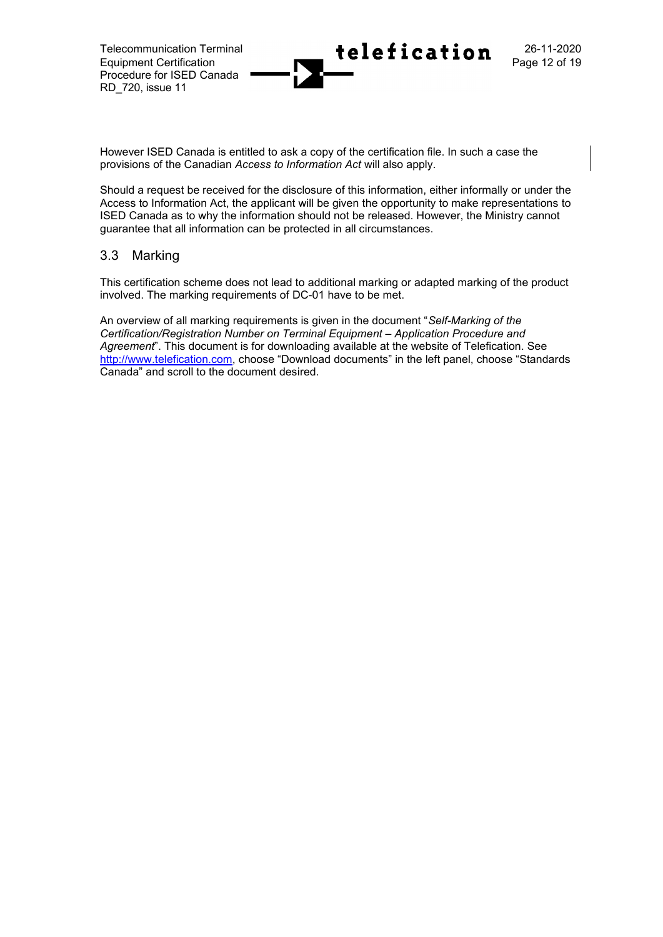However ISED Canada is entitled to ask a copy of the certification file. In such a case the provisions of the Canadian *Access to Information Act* will also apply.

Should a request be received for the disclosure of this information, either informally or under the Access to Information Act, the applicant will be given the opportunity to make representations to ISED Canada as to why the information should not be released. However, the Ministry cannot guarantee that all information can be protected in all circumstances.

## 3.3 Marking

This certification scheme does not lead to additional marking or adapted marking of the product involved. The marking requirements of DC-01 have to be met.

An overview of all marking requirements is given in the document "*Self-Marking of the Certification/Registration Number on Terminal Equipment – Application Procedure and Agreement*". This document is for downloading available at the website of Telefication. See [http://www.telefication.com](http://www.telefication.com/), choose "Download documents" in the left panel, choose "Standards Canada" and scroll to the document desired.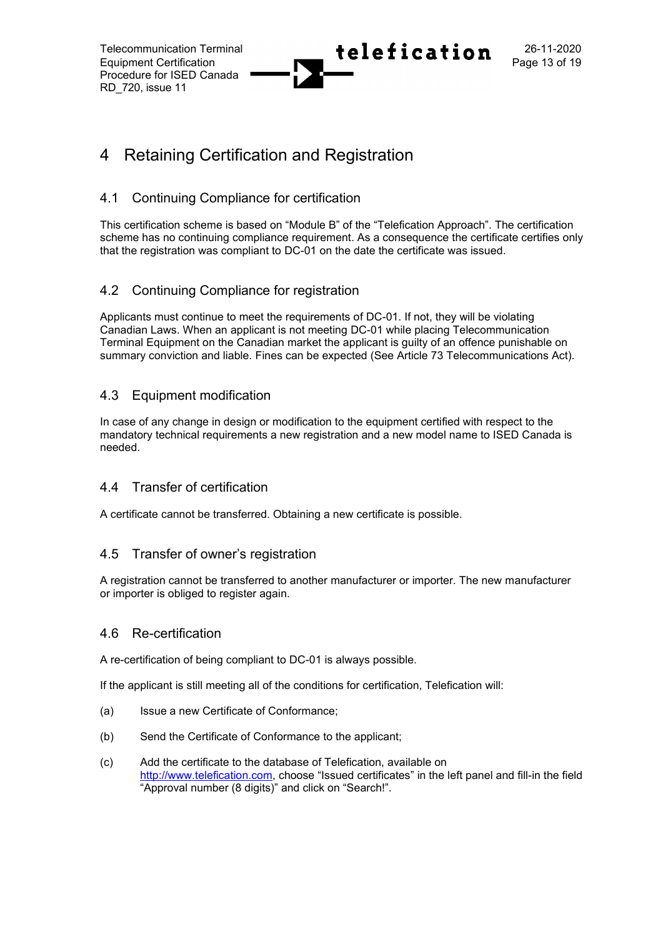# 4 Retaining Certification and Registration

## 4.1 Continuing Compliance for certification

This certification scheme is based on "Module B" of the "Telefication Approach". The certification scheme has no continuing compliance requirement. As a consequence the certificate certifies only that the registration was compliant to DC-01 on the date the certificate was issued.

## 4.2 Continuing Compliance for registration

Applicants must continue to meet the requirements of DC-01. If not, they will be violating Canadian Laws. When an applicant is not meeting DC-01 while placing Telecommunication Terminal Equipment on the Canadian market the applicant is guilty of an offence punishable on summary conviction and liable. Fines can be expected (See Article 73 Telecommunications Act).

## 4.3 Equipment modification

In case of any change in design or modification to the equipment certified with respect to the mandatory technical requirements a new registration and a new model name to ISED Canada is needed.

## 4.4 Transfer of certification

A certificate cannot be transferred. Obtaining a new certificate is possible.

## 4.5 Transfer of owner's registration

A registration cannot be transferred to another manufacturer or importer. The new manufacturer or importer is obliged to register again.

## 4.6 Re-certification

A re-certification of being compliant to DC-01 is always possible.

If the applicant is still meeting all of the conditions for certification, Telefication will:

- (a) Issue a new Certificate of Conformance;
- (b) Send the Certificate of Conformance to the applicant;
- (c) Add the certificate to the database of Telefication, available on [http://www.telefication.com](http://www.telefication.com/), choose "Issued certificates" in the left panel and fill-in the field "Approval number (8 digits)" and click on "Search!".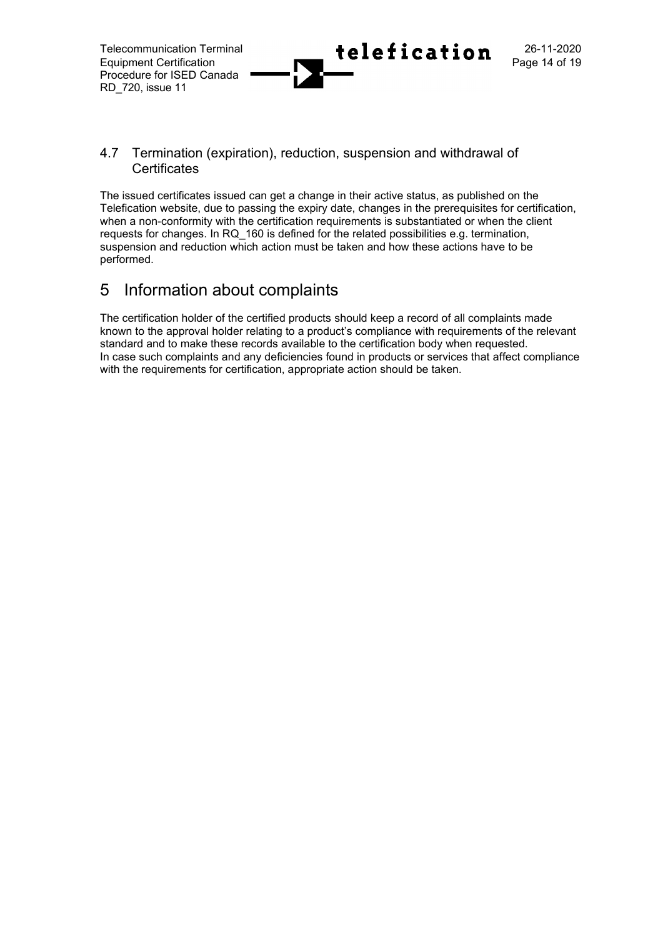## 4.7 Termination (expiration), reduction, suspension and withdrawal of **Certificates**

The issued certificates issued can get a change in their active status, as published on the Telefication website, due to passing the expiry date, changes in the prerequisites for certification, when a non-conformity with the certification requirements is substantiated or when the client requests for changes. In RQ\_160 is defined for the related possibilities e.g. termination, suspension and reduction which action must be taken and how these actions have to be performed.

# 5 Information about complaints

The certification holder of the certified products should keep a record of all complaints made known to the approval holder relating to a product's compliance with requirements of the relevant standard and to make these records available to the certification body when requested. In case such complaints and any deficiencies found in products or services that affect compliance with the requirements for certification, appropriate action should be taken.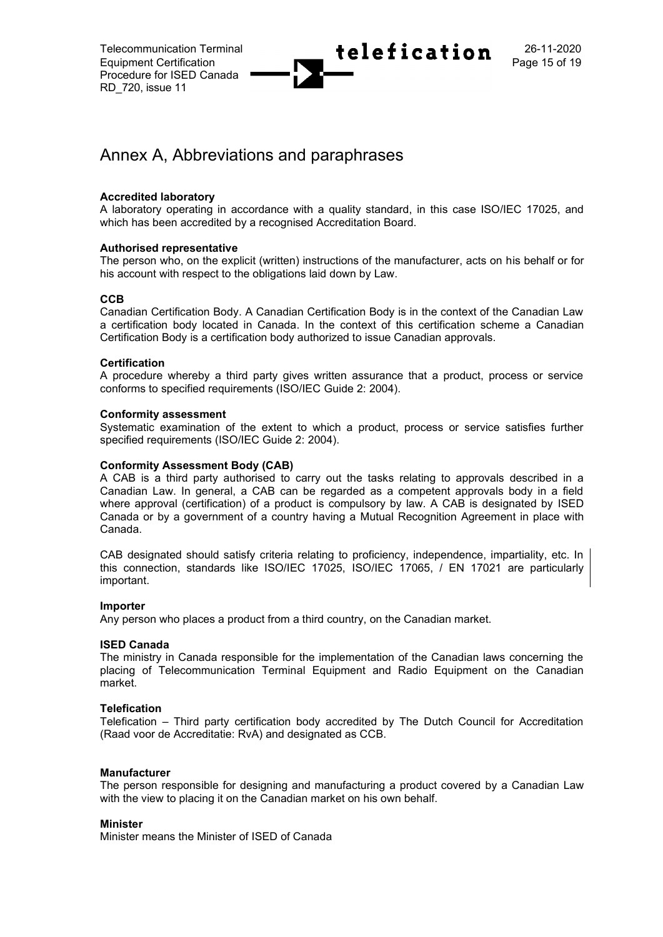

## Annex A, Abbreviations and paraphrases

### **Accredited laboratory**

A laboratory operating in accordance with a quality standard, in this case ISO/IEC 17025, and which has been accredited by a recognised Accreditation Board.

### **Authorised representative**

The person who, on the explicit (written) instructions of the manufacturer, acts on his behalf or for his account with respect to the obligations laid down by Law.

### **CCB**

Canadian Certification Body. A Canadian Certification Body is in the context of the Canadian Law a certification body located in Canada. In the context of this certification scheme a Canadian Certification Body is a certification body authorized to issue Canadian approvals.

### **Certification**

A procedure whereby a third party gives written assurance that a product, process or service conforms to specified requirements (ISO/IEC Guide 2: 2004).

### **Conformity assessment**

Systematic examination of the extent to which a product, process or service satisfies further specified requirements (ISO/IEC Guide 2: 2004).

### **Conformity Assessment Body (CAB)**

A CAB is a third party authorised to carry out the tasks relating to approvals described in a Canadian Law. In general, a CAB can be regarded as a competent approvals body in a field where approval (certification) of a product is compulsory by law. A CAB is designated by ISED Canada or by a government of a country having a Mutual Recognition Agreement in place with Canada.

CAB designated should satisfy criteria relating to proficiency, independence, impartiality, etc. In this connection, standards like ISO/IEC 17025, ISO/IEC 17065, / EN 17021 are particularly important.

### **Importer**

Any person who places a product from a third country, on the Canadian market.

### **ISED Canada**

The ministry in Canada responsible for the implementation of the Canadian laws concerning the placing of Telecommunication Terminal Equipment and Radio Equipment on the Canadian market.

### **Telefication**

Telefication – Third party certification body accredited by The Dutch Council for Accreditation (Raad voor de Accreditatie: RvA) and designated as CCB.

### **Manufacturer**

The person responsible for designing and manufacturing a product covered by a Canadian Law with the view to placing it on the Canadian market on his own behalf.

### **Minister**

Minister means the Minister of ISED of Canada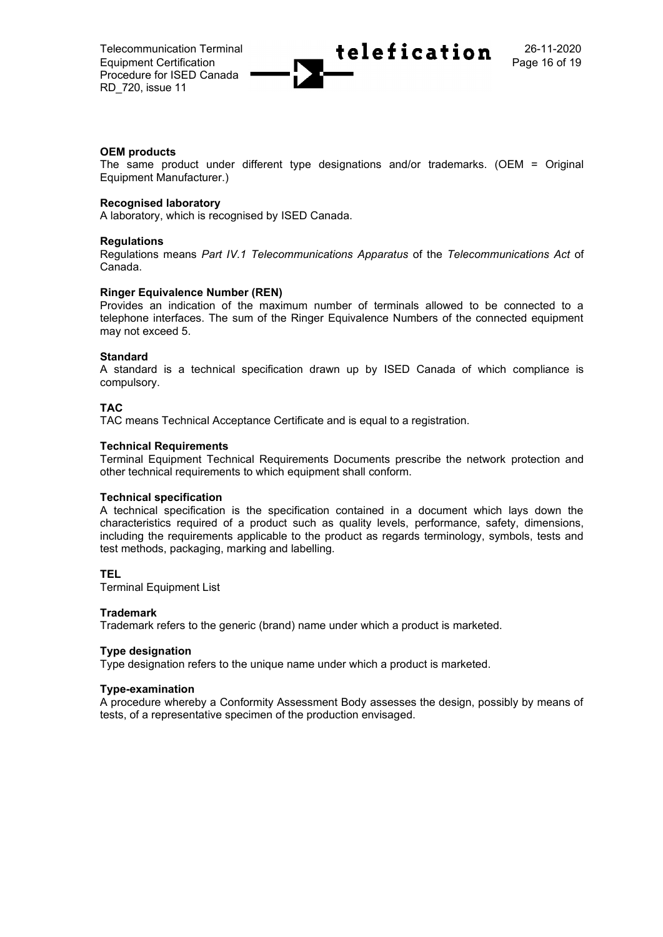

### **OEM products**

The same product under different type designations and/or trademarks. (OEM = Original Equipment Manufacturer.)

### **Recognised laboratory**

A laboratory, which is recognised by ISED Canada.

### **Regulations**

Regulations means *Part IV.1 Telecommunications Apparatus* of the *Telecommunications Act* of Canada.

#### **Ringer Equivalence Number (REN)**

Provides an indication of the maximum number of terminals allowed to be connected to a telephone interfaces. The sum of the Ringer Equivalence Numbers of the connected equipment may not exceed 5.

#### **Standard**

A standard is a technical specification drawn up by ISED Canada of which compliance is compulsory.

### **TAC**

TAC means Technical Acceptance Certificate and is equal to a registration.

### **Technical Requirements**

Terminal Equipment Technical Requirements Documents prescribe the network protection and other technical requirements to which equipment shall conform.

### **Technical specification**

A technical specification is the specification contained in a document which lays down the characteristics required of a product such as quality levels, performance, safety, dimensions, including the requirements applicable to the product as regards terminology, symbols, tests and test methods, packaging, marking and labelling.

### **TEL**

Terminal Equipment List

#### **Trademark**

Trademark refers to the generic (brand) name under which a product is marketed.

#### **Type designation**

Type designation refers to the unique name under which a product is marketed.

#### **Type-examination**

A procedure whereby a Conformity Assessment Body assesses the design, possibly by means of tests, of a representative specimen of the production envisaged.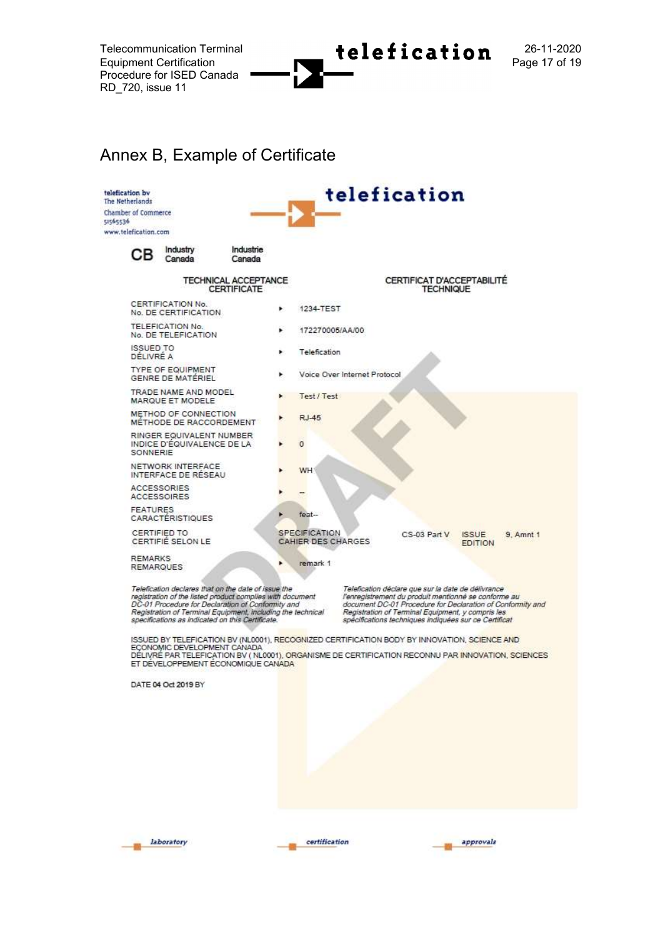Telecommunication Terminal  $\leftarrow$  telefication  $^{26-11-2020}$ Equipment Certification **Page 17 of 19** 

## Annex B, Example of Certificate



Telefication declares that on the date of issue the<br>registration of the listed product complies with document<br>DC-01 Procedure for Declaration of Conformity and<br>Registration of Terminal Equipment, including the technical<br>sp

Telefication déclare que sur la date de délivrance<br>l'enregistrement du produit mentionné se conforme au<br>document DC-01 Procedure for Declaration of Conformity and<br>Registration of Terminal Equipment, y compris les spécifications techniques indiquées sur ce Certificat

ISSUED BY TELEFICATION BV (NL0001), RECOGNIZED CERTIFICATION BODY BY INNOVATION, SCIENCE AND<br>ECONOMIC DEVELOPMENT CANADA DELIVRE PAR TELEFICATION BV (NL0001), ORGANISME DE CERTIFICATION RECONNU PAR INNOVATION, SCIENCES ET DÉVELOPPEMENT ÉCONOMIQUE CANADA

DATE 04 Oct 2019 BY



certification

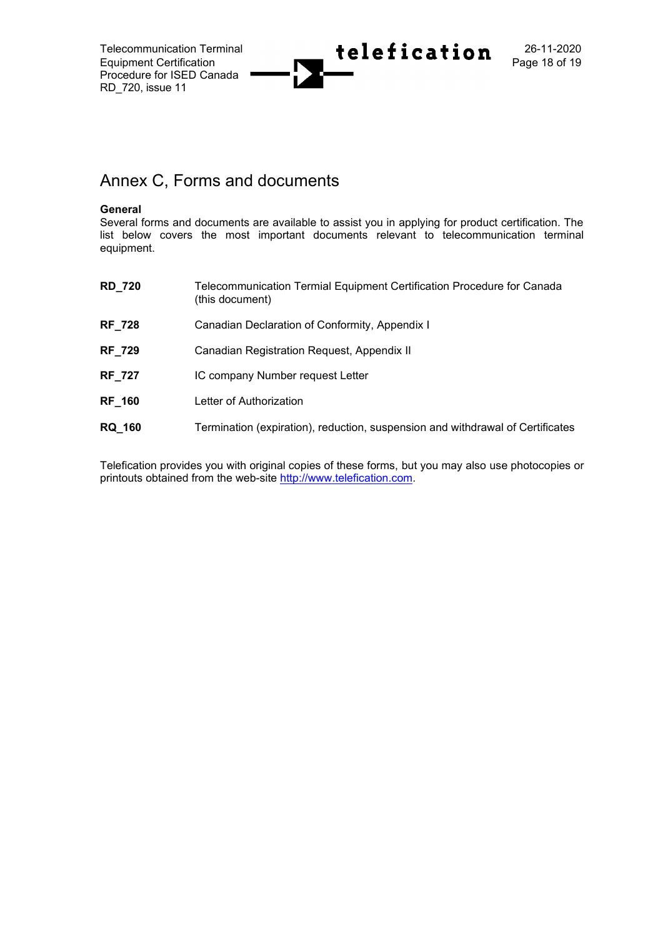

## Annex C, Forms and documents

### **General**

Several forms and documents are available to assist you in applying for product certification. The list below covers the most important documents relevant to telecommunication terminal equipment.

| <b>RD_720</b> | Telecommunication Termial Equipment Certification Procedure for Canada<br>(this document) |
|---------------|-------------------------------------------------------------------------------------------|
| <b>RF_728</b> | Canadian Declaration of Conformity, Appendix I                                            |
| <b>RF_729</b> | Canadian Registration Request, Appendix II                                                |
| <b>RF_727</b> | IC company Number request Letter                                                          |
| <b>RF 160</b> | Letter of Authorization                                                                   |
| <b>RQ 160</b> | Termination (expiration), reduction, suspension and withdrawal of Certificates            |

Telefication provides you with original copies of these forms, but you may also use photocopies or printouts obtained from the web-site [http://www.telefication.com.](http://www.telefication.com/)